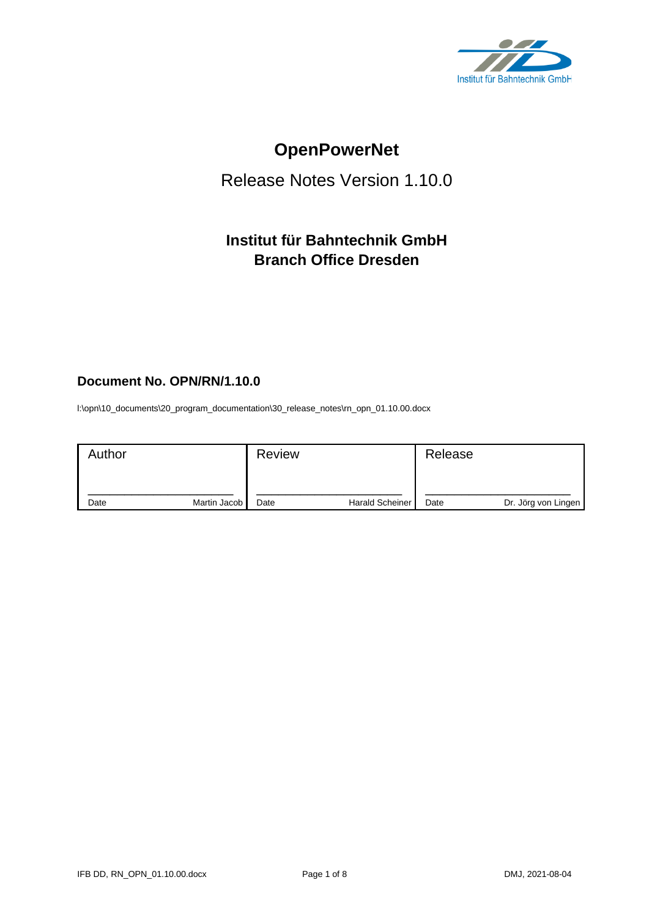

# **OpenPowerNet**

# Release Notes Version 1.10.0

# **Institut für Bahntechnik GmbH Branch Office Dresden**

# **Document No. OPN/RN/1.10.0**

l:\opn\10\_documents\20\_program\_documentation\30\_release\_notes\rn\_opn\_01.10.00.docx

| Author |              | <b>Review</b> |                        | Release |                     |
|--------|--------------|---------------|------------------------|---------|---------------------|
| Date   | Martin Jacob | Date          | <b>Harald Scheiner</b> | Date    | Dr. Jörg von Lingen |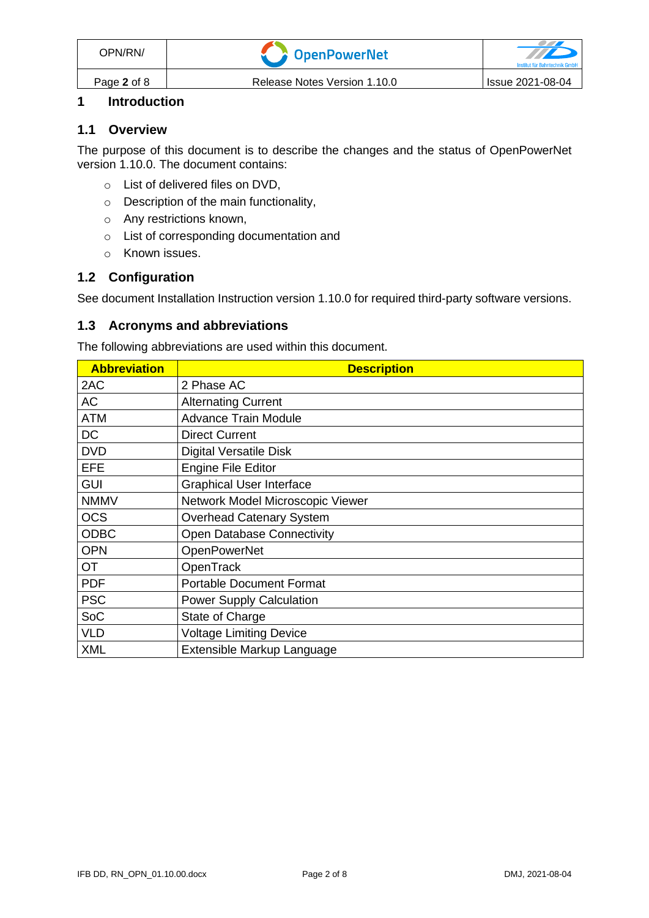# **1 Introduction**

#### **1.1 Overview**

The purpose of this document is to describe the changes and the status of OpenPowerNet version 1.10.0. The document contains:

- o List of delivered files on DVD,
- o Description of the main functionality,
- o Any restrictions known,
- o List of corresponding documentation and
- o Known issues.

### **1.2 Configuration**

See document Installation Instruction version 1.10.0 for required third-party software versions.

#### **1.3 Acronyms and abbreviations**

The following abbreviations are used within this document.

| <b>Abbreviation</b> | <b>Description</b>                |
|---------------------|-----------------------------------|
| 2AC                 | 2 Phase AC                        |
| <b>AC</b>           | <b>Alternating Current</b>        |
| <b>ATM</b>          | <b>Advance Train Module</b>       |
| <b>DC</b>           | <b>Direct Current</b>             |
| <b>DVD</b>          | <b>Digital Versatile Disk</b>     |
| <b>EFE</b>          | <b>Engine File Editor</b>         |
| <b>GUI</b>          | <b>Graphical User Interface</b>   |
| <b>NMMV</b>         | Network Model Microscopic Viewer  |
| <b>OCS</b>          | <b>Overhead Catenary System</b>   |
| <b>ODBC</b>         | <b>Open Database Connectivity</b> |
| <b>OPN</b>          | <b>OpenPowerNet</b>               |
| <b>OT</b>           | OpenTrack                         |
| <b>PDF</b>          | <b>Portable Document Format</b>   |
| <b>PSC</b>          | <b>Power Supply Calculation</b>   |
| SoC                 | State of Charge                   |
| <b>VLD</b>          | <b>Voltage Limiting Device</b>    |
| <b>XML</b>          | Extensible Markup Language        |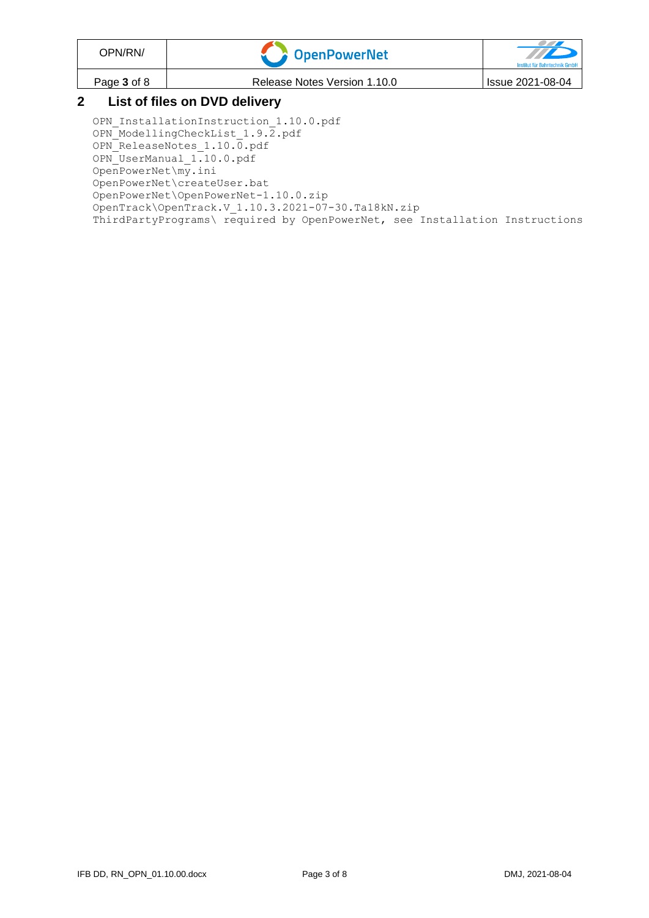| OPN/RN/                       | CopenPowerNet                | $\mathcal{T}$<br>Institut für Bahntechnik GmbH |  |
|-------------------------------|------------------------------|------------------------------------------------|--|
| Page 3 of 8                   | Release Notes Version 1.10.0 | Issue 2021-08-04                               |  |
| Liet of files on DVD delivery |                              |                                                |  |

### **2 List of files on DVD delivery**

OPN InstallationInstruction 1.10.0.pdf OPN\_ModellingCheckList\_1.9.2.pdf OPN\_ReleaseNotes\_1.10.0.pdf OPN\_UserManual\_1.10.0.pdf OpenPowerNet\my.ini OpenPowerNet\createUser.bat OpenPowerNet\OpenPowerNet-1.10.0.zip OpenTrack\OpenTrack.V\_1.10.3.2021-07-30.Ta18kN.zip ThirdPartyPrograms\ required by OpenPowerNet, see Installation Instructions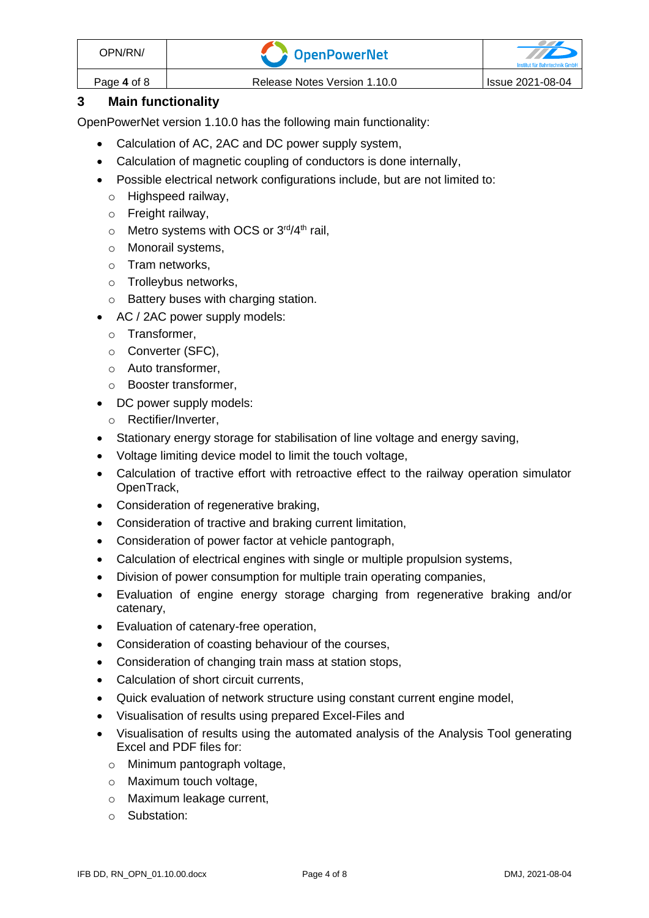| OPN/RN/     | <b>A</b> OpenPowerNet        |                  |
|-------------|------------------------------|------------------|
| Page 4 of 8 | Release Notes Version 1.10.0 | Issue 2021-08-04 |

# **3 Main functionality**

OpenPowerNet version 1.10.0 has the following main functionality:

- Calculation of AC, 2AC and DC power supply system,
- Calculation of magnetic coupling of conductors is done internally,
- Possible electrical network configurations include, but are not limited to:
	- o Highspeed railway,
	- o Freight railway,
	- $\circ$  Metro systems with OCS or 3<sup>rd</sup>/4<sup>th</sup> rail,
	- o Monorail systems,
	- o Tram networks,
	- o Trolleybus networks,
	- o Battery buses with charging station.
- AC / 2AC power supply models:
	- o Transformer,
	- o Converter (SFC),
	- o Auto transformer,
	- o Booster transformer,
- DC power supply models:
	- o Rectifier/Inverter,
- Stationary energy storage for stabilisation of line voltage and energy saving,
- Voltage limiting device model to limit the touch voltage,
- Calculation of tractive effort with retroactive effect to the railway operation simulator OpenTrack,
- Consideration of regenerative braking,
- Consideration of tractive and braking current limitation,
- Consideration of power factor at vehicle pantograph,
- Calculation of electrical engines with single or multiple propulsion systems,
- Division of power consumption for multiple train operating companies,
- Evaluation of engine energy storage charging from regenerative braking and/or catenary,
- Evaluation of catenary-free operation,
- Consideration of coasting behaviour of the courses,
- Consideration of changing train mass at station stops,
- Calculation of short circuit currents,
- Quick evaluation of network structure using constant current engine model,
- Visualisation of results using prepared Excel-Files and
- Visualisation of results using the automated analysis of the Analysis Tool generating Excel and PDF files for:
	- o Minimum pantograph voltage,
	- o Maximum touch voltage,
	- o Maximum leakage current,
	- o Substation: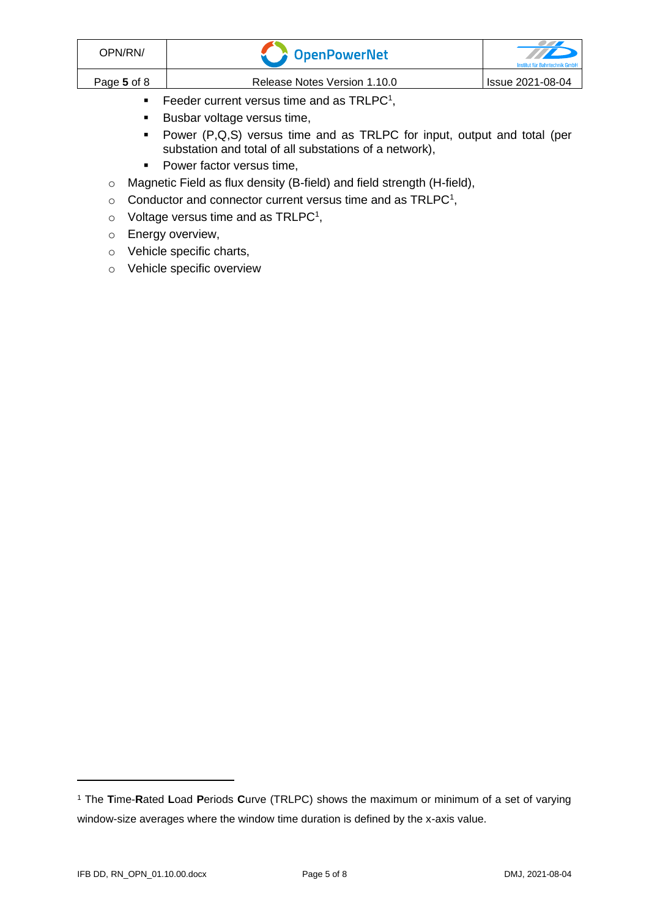| OPN/RN/     | OpenPowerNet                                 | TIP<br>Institut für Bahntechnik GmbH |
|-------------|----------------------------------------------|--------------------------------------|
| Page 5 of 8 | Release Notes Version 1.10.0                 | Issue 2021-08-04                     |
|             | Feeder current versus time and as $TRLPC1$ , |                                      |

- <span id="page-4-0"></span>■ Busbar voltage versus time,
- Power (P,Q,S) versus time and as TRLPC for input, output and total (per substation and total of all substations of a network),
- Power factor versus time,
- o Magnetic Field as flux density (B-field) and field strength (H-field),
- $\circ$  [C](#page-4-0)onductor and connector current versus time and as TRLPC<sup>1</sup>,
- $\circ$  Voltage versus time and as TRLPC<sup>[1](#page-4-0)</sup>,
- o Energy overview,
- o Vehicle specific charts,
- o Vehicle specific overview

<sup>1</sup> The **T**ime-**R**ated **L**oad **P**eriods **C**urve (TRLPC) shows the maximum or minimum of a set of varying window-size averages where the window time duration is defined by the x-axis value.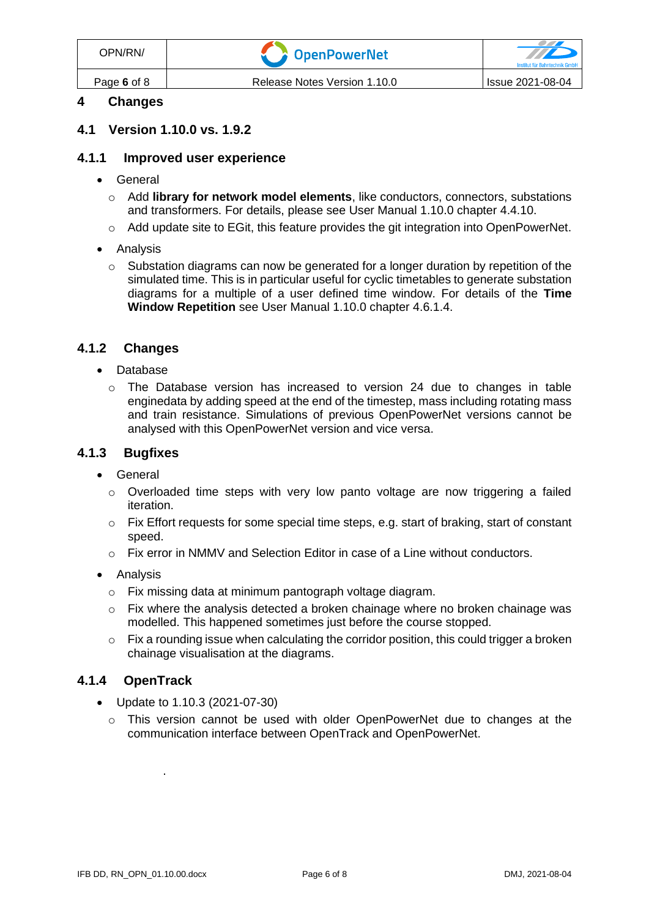| OPN/RN/     | <b>Component Component Transport</b> | <u>the contract of the contract of the contract of the contract of the contract of the contract of the contract of the contract of the contract of the contract of the contract of the contract of the contract of the contract </u><br>Institut für Bahntechnik GmbH |
|-------------|--------------------------------------|-----------------------------------------------------------------------------------------------------------------------------------------------------------------------------------------------------------------------------------------------------------------------|
| Page 6 of 8 | Release Notes Version 1.10.0         | Issue 2021-08-04                                                                                                                                                                                                                                                      |

# **4 Changes**

#### **4.1 Version 1.10.0 vs. 1.9.2**

#### **4.1.1 Improved user experience**

- General
	- o Add **library for network model elements**, like conductors, connectors, substations and transformers. For details, please see User Manual 1.10.0 chapter 4.4.10.
	- $\circ$  Add update site to EGit, this feature provides the git integration into OpenPowerNet.
- Analysis
	- $\circ$  Substation diagrams can now be generated for a longer duration by repetition of the simulated time. This is in particular useful for cyclic timetables to generate substation diagrams for a multiple of a user defined time window. For details of the **Time Window Repetition** see User Manual 1.10.0 chapter 4.6.1.4.

#### **4.1.2 Changes**

- Database
	- o The Database version has increased to version 24 due to changes in table enginedata by adding speed at the end of the timestep, mass including rotating mass and train resistance. Simulations of previous OpenPowerNet versions cannot be analysed with this OpenPowerNet version and vice versa.

#### **4.1.3 Bugfixes**

- General
	- $\circ$  Overloaded time steps with very low panto voltage are now triggering a failed iteration.
	- $\circ$  Fix Effort requests for some special time steps, e.g. start of braking, start of constant speed.
	- $\circ$  Fix error in NMMV and Selection Editor in case of a Line without conductors.
- Analysis
	- o Fix missing data at minimum pantograph voltage diagram.
	- $\circ$  Fix where the analysis detected a broken chainage where no broken chainage was modelled. This happened sometimes just before the course stopped.
	- $\circ$  Fix a rounding issue when calculating the corridor position, this could trigger a broken chainage visualisation at the diagrams.

#### **4.1.4 OpenTrack**

- Update to 1.10.3 (2021-07-30)
	- o This version cannot be used with older OpenPowerNet due to changes at the communication interface between OpenTrack and OpenPowerNet.

.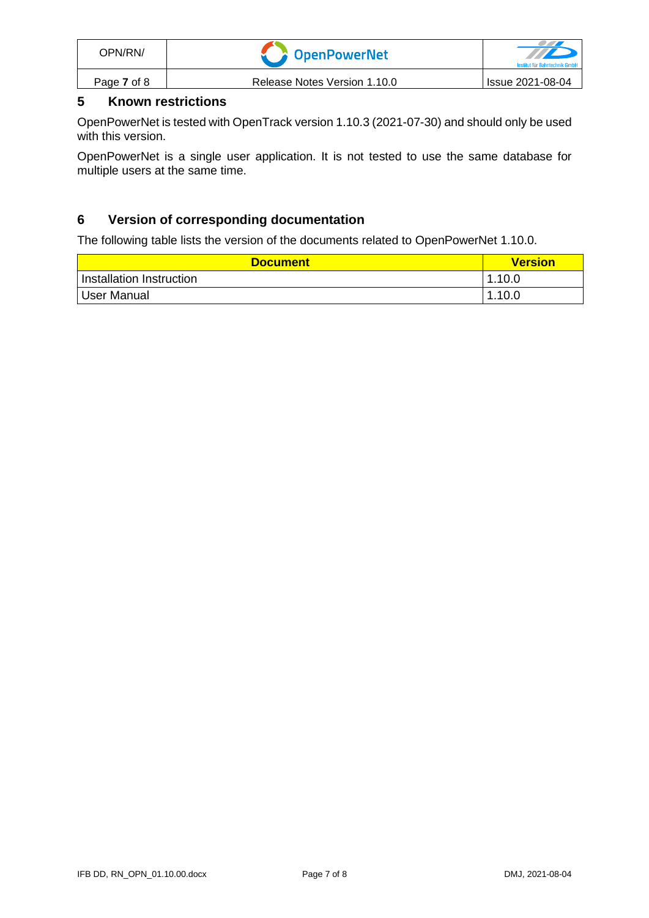| OPN/RN/     | <b>DenPowerNet</b>           | Institut für Bahntechnik GmbH |
|-------------|------------------------------|-------------------------------|
| Page 7 of 8 | Release Notes Version 1.10.0 | Issue 2021-08-04              |

# **5 Known restrictions**

OpenPowerNet is tested with OpenTrack version 1.10.3 (2021-07-30) and should only be used with this version.

OpenPowerNet is a single user application. It is not tested to use the same database for multiple users at the same time.

# **6 Version of corresponding documentation**

The following table lists the version of the documents related to OpenPowerNet 1.10.0.

| <b>Document</b>          | <b>Version</b> |
|--------------------------|----------------|
| Installation Instruction | 1.10.0         |
| <sup>1</sup> User Manual | 1.10.0         |